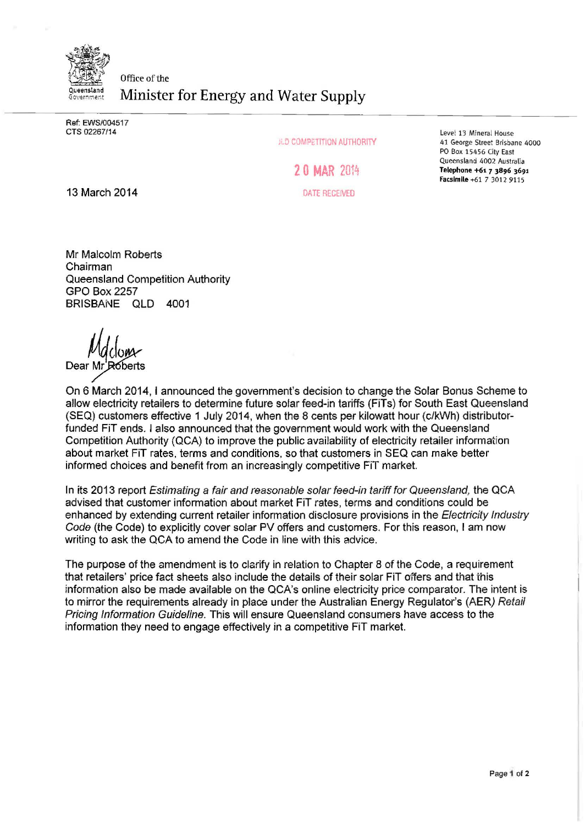

Ref: EWS/004517 CTS 02267/14

JLD COMPETITION AUTHORITY

**2 0 MAR** <sup>2014</sup>

DATE RECEIVED

Level 13 Mineral House 41 George Street Brisbane 4000 PO Box 15456 City East Queensland 4002 Australia Telephone +61 *7 3896* 3691 Facsimile+61 7 3012 9115

13 March 2014

Mr Malcolm Roberts Chairman Queensland Competition Authority GPO Box2257 BRISBANE QLD 4001

Dear<sub>N</sub>

On 6 March 2014, I announced the government's decision to change the Solar Bonus Scheme to allow electricity retailers to determine future solar feed-in tariffs (FiTs) for South East Queensland (SEQ) customers effective 1 July 2014, when the 8 cents per kilowatt hour (c/kWh) distributorfunded FiT ends. I also announced that the government would work with the Queensland Competition Authority (QCA) to improve the public availability of electricity retailer information about market FiT rates, terms and conditions, so that customers in SEQ can make better informed choices and benefit from an increasingly competitive FiT market.

In its 2013 report Estimating a fair and reasonable solar feed-in tariff for Queensland, the QCA advised that customer information about market FiT rates, terms and conditions could be enhanced by extending current retailer information disclosure provisions in the Electricity Industry Code (the Code) to explicitly cover solar PV offers and customers. For this reason, I am now writing to ask the QCA to amend the Code in line with this advice.

The purpose of the amendment is to clarify in relation to Chapter 8 of the Code, a requirement that retailers' price fact sheets also include the details of their solar FiT offers and that this information also be made available on the QCA's online electricity price comparator. The intent is to mirror the requirements already in place under the Australian Energy Regulator's (AER) Retail Pricing Information Guideline. This will ensure Queensland consumers have access to the information they need to engage effectively in a competitive FiT market.